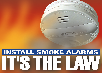

# **INSTALL SMOKE ALARMS**